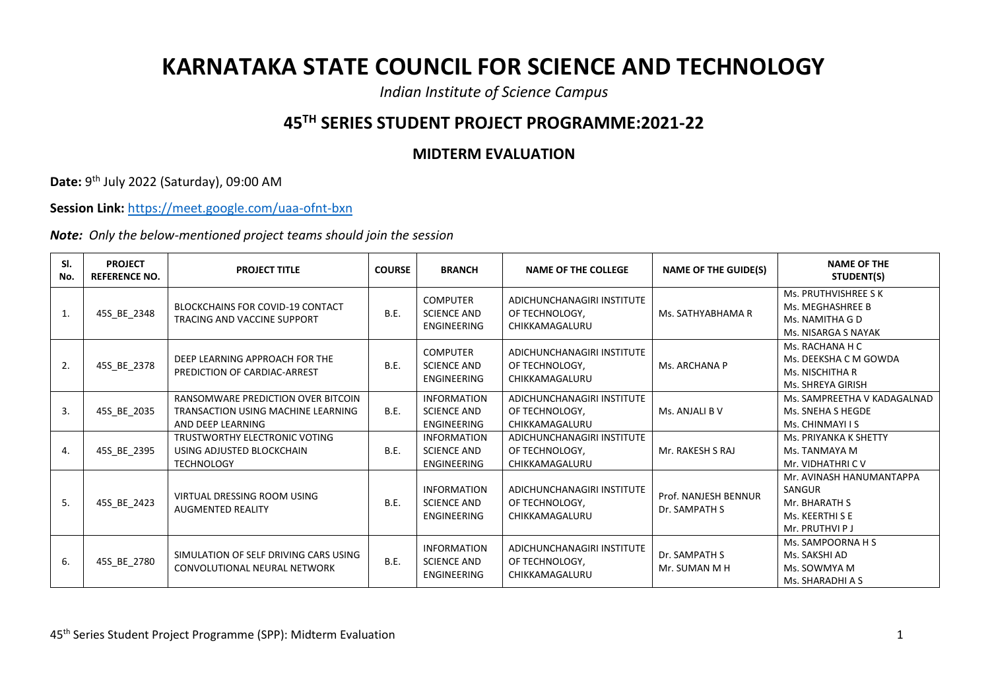## **KARNATAKA STATE COUNCIL FOR SCIENCE AND TECHNOLOGY**

*Indian Institute of Science Campus*

## **45TH SERIES STUDENT PROJECT PROGRAMME:2021-22**

## **MIDTERM EVALUATION**

**Date:** 9 th July 2022 (Saturday), 09:00 AM

**Session Link:** <https://meet.google.com/uaa-ofnt-bxn>

*Note: Only the below-mentioned project teams should join the session*

| SI.<br>No. | <b>PROJECT</b><br><b>REFERENCE NO.</b> | <b>PROJECT TITLE</b>                                                                          | <b>COURSE</b> | <b>BRANCH</b>                                                  | <b>NAME OF THE COLLEGE</b>                                     | <b>NAME OF THE GUIDE(S)</b>           | <b>NAME OF THE</b><br>STUDENT(S)                                                          |
|------------|----------------------------------------|-----------------------------------------------------------------------------------------------|---------------|----------------------------------------------------------------|----------------------------------------------------------------|---------------------------------------|-------------------------------------------------------------------------------------------|
| 1.         | 45S_BE_2348                            | <b>BLOCKCHAINS FOR COVID-19 CONTACT</b><br>TRACING AND VACCINE SUPPORT                        | <b>B.E.</b>   | <b>COMPUTER</b><br><b>SCIENCE AND</b><br><b>ENGINEERING</b>    | ADICHUNCHANAGIRI INSTITUTE<br>OF TECHNOLOGY,<br>CHIKKAMAGALURU | Ms. SATHYABHAMA R                     | Ms. PRUTHVISHREE S K<br>Ms. MEGHASHREE B<br>Ms. NAMITHA G D<br>Ms. NISARGA S NAYAK        |
| 2.         | 45S_BE_2378                            | DEEP LEARNING APPROACH FOR THE<br>PREDICTION OF CARDIAC-ARREST                                | <b>B.E.</b>   | <b>COMPUTER</b><br><b>SCIENCE AND</b><br>ENGINEERING           | ADICHUNCHANAGIRI INSTITUTE<br>OF TECHNOLOGY,<br>CHIKKAMAGALURU | Ms. ARCHANA P                         | Ms. RACHANA H C<br>Ms. DEEKSHA C M GOWDA<br>Ms. NISCHITHA R<br>Ms. SHREYA GIRISH          |
| 3.         | 45S BE 2035                            | RANSOMWARE PREDICTION OVER BITCOIN<br>TRANSACTION USING MACHINE LEARNING<br>AND DEEP LEARNING | <b>B.E.</b>   | <b>INFORMATION</b><br><b>SCIENCE AND</b><br><b>ENGINEERING</b> | ADICHUNCHANAGIRI INSTITUTE<br>OF TECHNOLOGY.<br>CHIKKAMAGALURU | Ms. ANJALI B V                        | Ms. SAMPREETHA V KADAGALNAD<br>Ms. SNEHA S HEGDE<br>Ms. CHINMAYI I S                      |
| 4.         | 45S_BE_2395                            | TRUSTWORTHY ELECTRONIC VOTING<br>USING ADJUSTED BLOCKCHAIN<br><b>TECHNOLOGY</b>               | B.E.          | <b>INFORMATION</b><br><b>SCIENCE AND</b><br>ENGINEERING        | ADICHUNCHANAGIRI INSTITUTE<br>OF TECHNOLOGY,<br>CHIKKAMAGALURU | Mr. RAKESH S RAJ                      | Ms. PRIYANKA K SHETTY<br>Ms. TANMAYA M<br>Mr. VIDHATHRI C V                               |
| 5.         | 45S_BE_2423                            | VIRTUAL DRESSING ROOM USING<br><b>AUGMENTED REALITY</b>                                       | B.E.          | <b>INFORMATION</b><br><b>SCIENCE AND</b><br><b>ENGINEERING</b> | ADICHUNCHANAGIRI INSTITUTE<br>OF TECHNOLOGY,<br>CHIKKAMAGALURU | Prof. NANJESH BENNUR<br>Dr. SAMPATH S | Mr. AVINASH HANUMANTAPPA<br>SANGUR<br>Mr. BHARATH S<br>Ms. KEERTHI S E<br>Mr. PRUTHVI P J |
| 6.         | 45S_BE_2780                            | SIMULATION OF SELF DRIVING CARS USING<br>CONVOLUTIONAL NEURAL NETWORK                         | <b>B.E.</b>   | <b>INFORMATION</b><br><b>SCIENCE AND</b><br><b>ENGINEERING</b> | ADICHUNCHANAGIRI INSTITUTE<br>OF TECHNOLOGY,<br>CHIKKAMAGALURU | Dr. SAMPATH S<br>Mr. SUMAN M H        | Ms. SAMPOORNA H S<br>Ms. SAKSHI AD<br>Ms. SOWMYA M<br>Ms. SHARADHI A S                    |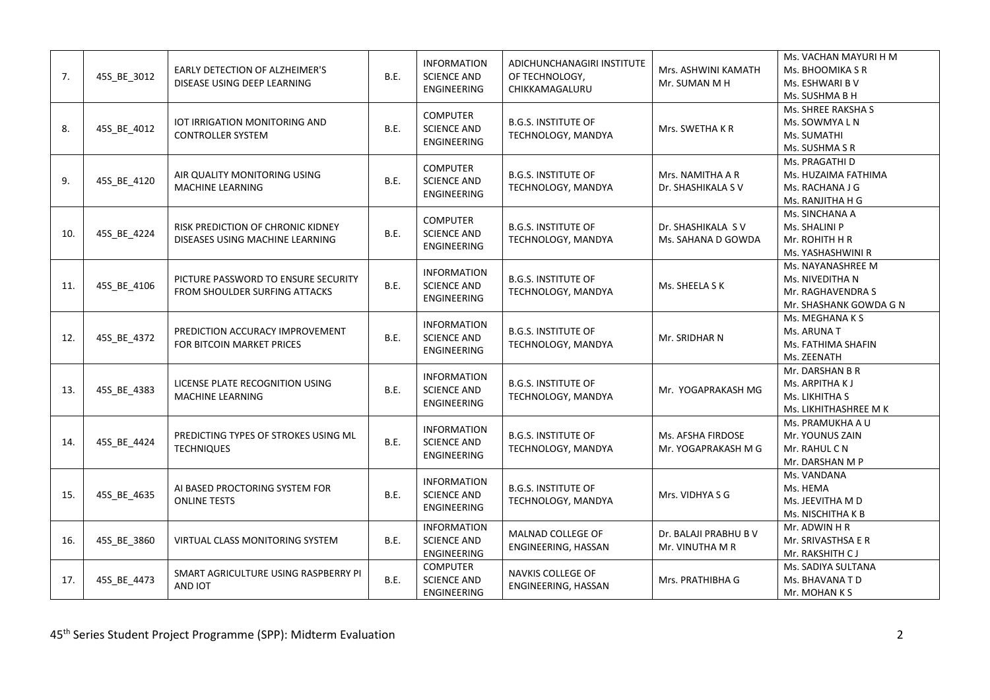| 7.  | 45S_BE_3012 | EARLY DETECTION OF ALZHEIMER'S<br>DISEASE USING DEEP LEARNING        | B.E. | <b>INFORMATION</b><br><b>SCIENCE AND</b><br><b>ENGINEERING</b> | ADICHUNCHANAGIRI INSTITUTE<br>OF TECHNOLOGY,<br>CHIKKAMAGALURU | Mrs. ASHWINI KAMATH<br>Mr. SUMAN M H     | Ms. VACHAN MAYURI H M<br>Ms. BHOOMIKA S R<br>Ms. ESHWARI B V<br>Ms. SUSHMA B H      |
|-----|-------------|----------------------------------------------------------------------|------|----------------------------------------------------------------|----------------------------------------------------------------|------------------------------------------|-------------------------------------------------------------------------------------|
| 8.  | 45S_BE_4012 | IOT IRRIGATION MONITORING AND<br><b>CONTROLLER SYSTEM</b>            | B.E. | <b>COMPUTER</b><br><b>SCIENCE AND</b><br>ENGINEERING           | <b>B.G.S. INSTITUTE OF</b><br>TECHNOLOGY, MANDYA               | Mrs. SWETHA K R                          | Ms. SHREE RAKSHA S<br>Ms. SOWMYA L N<br>Ms. SUMATHI<br>Ms. SUSHMA S R               |
| 9.  | 45S BE 4120 | AIR QUALITY MONITORING USING<br><b>MACHINE LEARNING</b>              | B.E. | <b>COMPUTER</b><br><b>SCIENCE AND</b><br>ENGINEERING           | <b>B.G.S. INSTITUTE OF</b><br>TECHNOLOGY, MANDYA               | Mrs. NAMITHA A R<br>Dr. SHASHIKALA S V   | Ms. PRAGATHI D<br>Ms. HUZAIMA FATHIMA<br>Ms. RACHANA J G<br>Ms. RANJITHA H G        |
| 10. | 45S_BE_4224 | RISK PREDICTION OF CHRONIC KIDNEY<br>DISEASES USING MACHINE LEARNING | B.E. | <b>COMPUTER</b><br><b>SCIENCE AND</b><br>ENGINEERING           | <b>B.G.S. INSTITUTE OF</b><br>TECHNOLOGY, MANDYA               | Dr. SHASHIKALA SV<br>Ms. SAHANA D GOWDA  | Ms. SINCHANA A<br>Ms. SHALINI P<br>Mr. ROHITH H R<br>Ms. YASHASHWINI R              |
| 11. | 45S BE 4106 | PICTURE PASSWORD TO ENSURE SECURITY<br>FROM SHOULDER SURFING ATTACKS | B.E. | <b>INFORMATION</b><br><b>SCIENCE AND</b><br>ENGINEERING        | <b>B.G.S. INSTITUTE OF</b><br>TECHNOLOGY, MANDYA               | Ms. SHEELA S K                           | Ms. NAYANASHREE M<br>Ms. NIVEDITHA N<br>Mr. RAGHAVENDRA S<br>Mr. SHASHANK GOWDA G N |
| 12. | 45S_BE_4372 | PREDICTION ACCURACY IMPROVEMENT<br>FOR BITCOIN MARKET PRICES         | B.E. | <b>INFORMATION</b><br><b>SCIENCE AND</b><br>ENGINEERING        | <b>B.G.S. INSTITUTE OF</b><br>TECHNOLOGY, MANDYA               | Mr. SRIDHAR N                            | Ms. MEGHANA K S<br>Ms. ARUNA T<br>Ms. FATHIMA SHAFIN<br>Ms. ZEENATH                 |
| 13. | 45S_BE_4383 | LICENSE PLATE RECOGNITION USING<br><b>MACHINE LEARNING</b>           | B.E. | <b>INFORMATION</b><br><b>SCIENCE AND</b><br>ENGINEERING        | <b>B.G.S. INSTITUTE OF</b><br>TECHNOLOGY, MANDYA               | Mr. YOGAPRAKASH MG                       | Mr. DARSHAN B R<br>Ms. ARPITHA K J<br>Ms. LIKHITHA S<br>Ms. LIKHITHASHREE M K       |
| 14. | 45S BE 4424 | PREDICTING TYPES OF STROKES USING ML<br><b>TECHNIQUES</b>            | B.E. | <b>INFORMATION</b><br><b>SCIENCE AND</b><br>ENGINEERING        | <b>B.G.S. INSTITUTE OF</b><br>TECHNOLOGY, MANDYA               | Ms. AFSHA FIRDOSE<br>Mr. YOGAPRAKASH M G | Ms. PRAMUKHA A U<br>Mr. YOUNUS ZAIN<br>Mr. RAHUL C N<br>Mr. DARSHAN M P             |
| 15. | 45S_BE_4635 | AI BASED PROCTORING SYSTEM FOR<br><b>ONLINE TESTS</b>                | B.E. | <b>INFORMATION</b><br><b>SCIENCE AND</b><br><b>ENGINEERING</b> | <b>B.G.S. INSTITUTE OF</b><br>TECHNOLOGY, MANDYA               | Mrs. VIDHYA S G                          | Ms. VANDANA<br>Ms. HEMA<br>Ms. JEEVITHA M D<br>Ms. NISCHITHA K B                    |
| 16. | 45S_BE_3860 | VIRTUAL CLASS MONITORING SYSTEM                                      | B.E. | <b>INFORMATION</b><br><b>SCIENCE AND</b><br><b>ENGINEERING</b> | MALNAD COLLEGE OF<br>ENGINEERING, HASSAN                       | Dr. BALAJI PRABHU B V<br>Mr. VINUTHA M R | Mr. ADWIN H R<br>Mr. SRIVASTHSA E R<br>Mr. RAKSHITH CJ                              |
| 17. | 45S_BE_4473 | SMART AGRICULTURE USING RASPBERRY PI<br>AND IOT                      | B.E. | <b>COMPUTER</b><br><b>SCIENCE AND</b><br><b>ENGINEERING</b>    | NAVKIS COLLEGE OF<br>ENGINEERING, HASSAN                       | Mrs. PRATHIBHA G                         | Ms. SADIYA SULTANA<br>Ms. BHAVANA T D<br>Mr. MOHAN K S                              |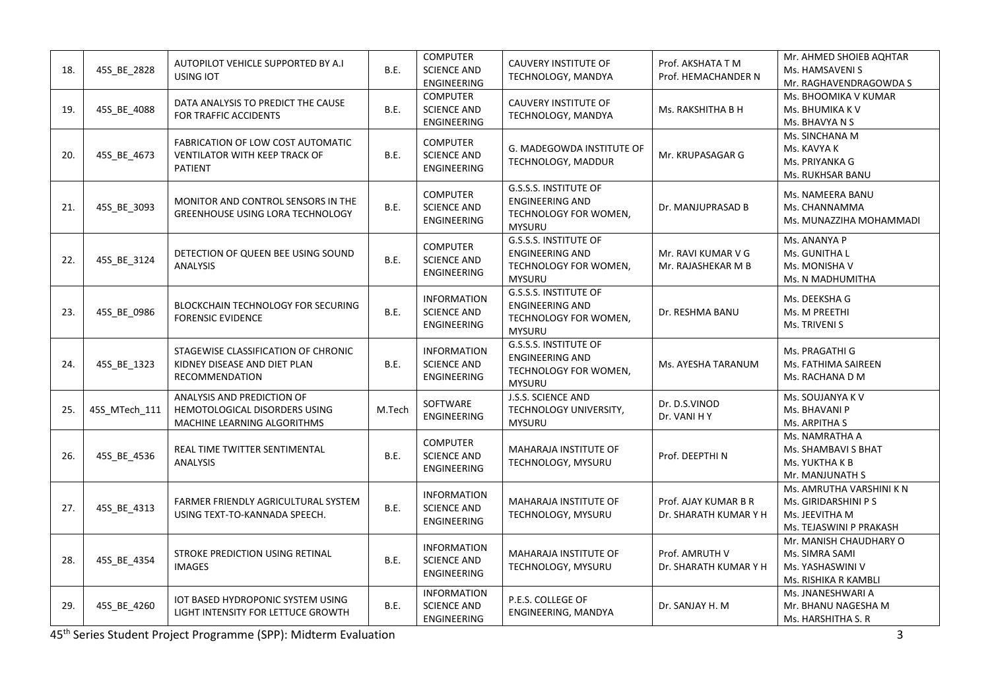| 18. | 45S_BE_2828   | AUTOPILOT VEHICLE SUPPORTED BY A.I<br><b>USING IOT</b>                                     | B.E.   | <b>COMPUTER</b><br><b>SCIENCE AND</b><br><b>ENGINEERING</b>    | CAUVERY INSTITUTE OF<br>TECHNOLOGY, MANDYA                                                       | Prof. AKSHATA T M<br>Prof. HEMACHANDER N      | Mr. AHMED SHOIEB AQHTAR<br>Ms. HAMSAVENI S<br>Mr. RAGHAVENDRAGOWDA S                          |
|-----|---------------|--------------------------------------------------------------------------------------------|--------|----------------------------------------------------------------|--------------------------------------------------------------------------------------------------|-----------------------------------------------|-----------------------------------------------------------------------------------------------|
| 19. | 45S_BE_4088   | DATA ANALYSIS TO PREDICT THE CAUSE<br>FOR TRAFFIC ACCIDENTS                                | B.E.   | <b>COMPUTER</b><br><b>SCIENCE AND</b><br>ENGINEERING           | <b>CAUVERY INSTITUTE OF</b><br>TECHNOLOGY, MANDYA                                                | Ms. RAKSHITHA B H                             | Ms. BHOOMIKA V KUMAR<br>Ms. BHUMIKA K V<br>Ms. BHAVYA N S                                     |
| 20. | 45S_BE_4673   | FABRICATION OF LOW COST AUTOMATIC<br><b>VENTILATOR WITH KEEP TRACK OF</b><br>PATIENT       | B.E.   | <b>COMPUTER</b><br><b>SCIENCE AND</b><br><b>ENGINEERING</b>    | G. MADEGOWDA INSTITUTE OF<br>TECHNOLOGY, MADDUR                                                  | Mr. KRUPASAGAR G                              | Ms. SINCHANA M<br>Ms. KAVYA K<br>Ms. PRIYANKA G<br>Ms. RUKHSAR BANU                           |
| 21. | 45S_BE_3093   | MONITOR AND CONTROL SENSORS IN THE<br><b>GREENHOUSE USING LORA TECHNOLOGY</b>              | B.E.   | <b>COMPUTER</b><br><b>SCIENCE AND</b><br>ENGINEERING           | <b>G.S.S.S. INSTITUTE OF</b><br><b>ENGINEERING AND</b><br>TECHNOLOGY FOR WOMEN,<br><b>MYSURU</b> | Dr. MANJUPRASAD B                             | Ms. NAMEERA BANU<br>Ms. CHANNAMMA<br>Ms. MUNAZZIHA MOHAMMADI                                  |
| 22. | 45S_BE_3124   | DETECTION OF QUEEN BEE USING SOUND<br><b>ANALYSIS</b>                                      | B.E.   | <b>COMPUTER</b><br><b>SCIENCE AND</b><br>ENGINEERING           | <b>G.S.S.S. INSTITUTE OF</b><br><b>ENGINEERING AND</b><br>TECHNOLOGY FOR WOMEN,<br><b>MYSURU</b> | Mr. RAVI KUMAR V G<br>Mr. RAJASHEKAR M B      | Ms. ANANYA P<br>Ms. GUNITHA L<br>Ms. MONISHA V<br>Ms. N MADHUMITHA                            |
| 23. | 45S_BE_0986   | BLOCKCHAIN TECHNOLOGY FOR SECURING<br><b>FORENSIC EVIDENCE</b>                             | B.E.   | <b>INFORMATION</b><br><b>SCIENCE AND</b><br>ENGINEERING        | <b>G.S.S.S. INSTITUTE OF</b><br><b>ENGINEERING AND</b><br>TECHNOLOGY FOR WOMEN,<br><b>MYSURU</b> | Dr. RESHMA BANU                               | Ms. DEEKSHA G<br>Ms. M PREETHI<br>Ms. TRIVENI S                                               |
| 24. | 45S_BE_1323   | STAGEWISE CLASSIFICATION OF CHRONIC<br>KIDNEY DISEASE AND DIET PLAN<br>RECOMMENDATION      | B.E.   | <b>INFORMATION</b><br><b>SCIENCE AND</b><br><b>ENGINEERING</b> | G.S.S.S. INSTITUTE OF<br><b>ENGINEERING AND</b><br>TECHNOLOGY FOR WOMEN,<br><b>MYSURU</b>        | Ms. AYESHA TARANUM                            | Ms. PRAGATHI G<br>Ms. FATHIMA SAIREEN<br>Ms. RACHANA D M                                      |
| 25. | 45S MTech 111 | ANALYSIS AND PREDICTION OF<br>HEMOTOLOGICAL DISORDERS USING<br>MACHINE LEARNING ALGORITHMS | M.Tech | SOFTWARE<br><b>ENGINEERING</b>                                 | J.S.S. SCIENCE AND<br>TECHNOLOGY UNIVERSITY,<br><b>MYSURU</b>                                    | Dr. D.S.VINOD<br>Dr. VANI HY                  | Ms. SOUJANYA K V<br>Ms. BHAVANI P<br>Ms. ARPITHA S                                            |
| 26. | 45S_BE_4536   | REAL TIME TWITTER SENTIMENTAL<br><b>ANALYSIS</b>                                           | B.E.   | <b>COMPUTER</b><br><b>SCIENCE AND</b><br><b>ENGINEERING</b>    | MAHARAJA INSTITUTE OF<br>TECHNOLOGY, MYSURU                                                      | Prof. DEEPTHI N                               | Ms. NAMRATHA A<br>Ms. SHAMBAVI S BHAT<br>Ms. YUKTHA K B<br>Mr. MANJUNATH S                    |
| 27. | 45S_BE_4313   | FARMER FRIENDLY AGRICULTURAL SYSTEM<br>USING TEXT-TO-KANNADA SPEECH.                       | B.E.   | <b>INFORMATION</b><br><b>SCIENCE AND</b><br><b>ENGINEERING</b> | <b>MAHARAJA INSTITUTE OF</b><br>TECHNOLOGY, MYSURU                                               | Prof. AJAY KUMAR B R<br>Dr. SHARATH KUMAR Y H | Ms. AMRUTHA VARSHINI K N<br>Ms. GIRIDARSHINI P S<br>Ms. JEEVITHA M<br>Ms. TEJASWINI P PRAKASH |
| 28. | 45S_BE_4354   | STROKE PREDICTION USING RETINAL<br><b>IMAGES</b>                                           | B.E.   | <b>INFORMATION</b><br><b>SCIENCE AND</b><br><b>ENGINEERING</b> | MAHARAJA INSTITUTE OF<br>TECHNOLOGY, MYSURU                                                      | Prof. AMRUTH V<br>Dr. SHARATH KUMAR Y H       | Mr. MANISH CHAUDHARY O<br>Ms. SIMRA SAMI<br>Ms. YASHASWINI V<br>Ms. RISHIKA R KAMBLI          |
| 29. | 45S_BE_4260   | IOT BASED HYDROPONIC SYSTEM USING<br>LIGHT INTENSITY FOR LETTUCE GROWTH                    | B.E.   | <b>INFORMATION</b><br><b>SCIENCE AND</b><br>ENGINEERING        | P.E.S. COLLEGE OF<br>ENGINEERING, MANDYA                                                         | Dr. SANJAY H. M                               | Ms. JNANESHWARI A<br>Mr. BHANU NAGESHA M<br>Ms. HARSHITHA S. R                                |

45th Series Student Project Programme (SPP): Midterm Evaluation 3